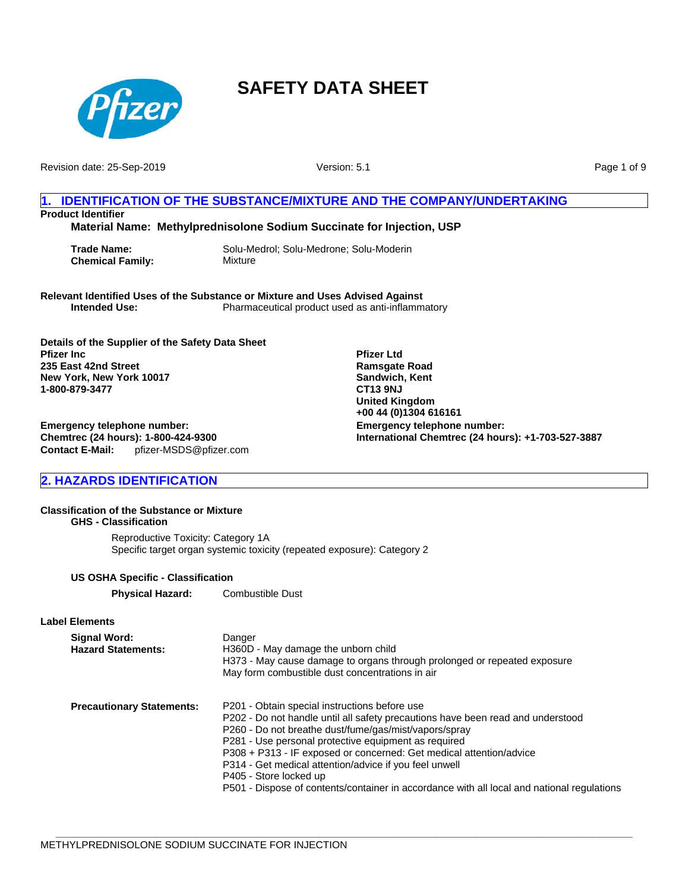

Revision date: 25-Sep-2019

Version: 5.1

Page 1 of 9

## **1. IDENTIFICATION OF THE SUBSTANCE/MIXTURE AND THE COMPANY/UNDERTAKING Product Identifier**

**Material Name: Methylprednisolone Sodium Succinate for Injection, USP**

**Chemical Family:** Mixture

**Trade Name:** Solu-Medrol; Solu-Medrone; Solu-Moderin

**Relevant Identified Uses of the Substance or Mixture and Uses Advised Against Intended Use:** Pharmaceutical product used as anti-inflammatory

**Details of the Supplier of the Safety Data Sheet Pfizer Inc 235 East 42nd Street New York, New York 10017 1-800-879-3477**

**Emergency telephone number: International Chemtrec (24 hours): +1-703-527-3887 Pfizer Ltd Ramsgate Road Sandwich, Kent CT13 9NJ United Kingdom +00 44 (0)1304 616161**

**Emergency telephone number: Chemtrec (24 hours): 1-800-424-9300 Contact E-Mail:** pfizer-MSDS@pfizer.com

## **2. HAZARDS IDENTIFICATION**

## **Classification of the Substance or Mixture**

**GHS - Classification** Reproductive Toxicity: Category 1A Specific target organ systemic toxicity (repeated exposure): Category 2

### **US OSHA Specific - Classification**

**Physical Hazard:** Combustible Dust

**Label Elements**

| Signal Word:<br><b>Hazard Statements:</b> | Danger<br>H360D - May damage the unborn child<br>H373 - May cause damage to organs through prolonged or repeated exposure<br>May form combustible dust concentrations in air                                                                                                                                                                                                                                                                                                                               |
|-------------------------------------------|------------------------------------------------------------------------------------------------------------------------------------------------------------------------------------------------------------------------------------------------------------------------------------------------------------------------------------------------------------------------------------------------------------------------------------------------------------------------------------------------------------|
| <b>Precautionary Statements:</b>          | P201 - Obtain special instructions before use<br>P202 - Do not handle until all safety precautions have been read and understood<br>P260 - Do not breathe dust/fume/gas/mist/vapors/spray<br>P281 - Use personal protective equipment as required<br>P308 + P313 - IF exposed or concerned: Get medical attention/advice<br>P314 - Get medical attention/advice if you feel unwell<br>P405 - Store locked up<br>P501 - Dispose of contents/container in accordance with all local and national regulations |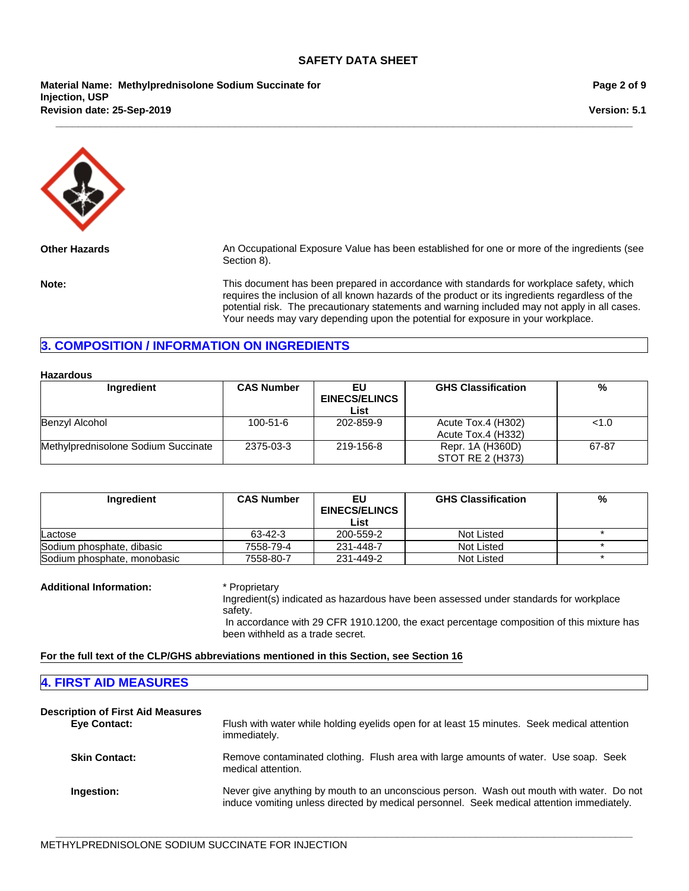**\_\_\_\_\_\_\_\_\_\_\_\_\_\_\_\_\_\_\_\_\_\_\_\_\_\_\_\_\_\_\_\_\_\_\_\_\_\_\_\_\_\_\_\_\_\_\_\_\_\_\_\_\_\_\_\_\_\_\_\_\_\_\_\_\_\_\_\_\_\_\_\_\_\_\_\_\_\_\_\_\_\_\_\_\_\_\_\_\_\_\_\_\_\_\_\_\_\_\_\_\_\_\_**

**Revision date: 25-Sep-2019 Material Name: Methylprednisolone Sodium Succinate for Injection, USP**

**Page 2 of 9**

**Version: 5.1**



**Other Hazards** An Occupational Exposure Value has been established for one or more of the ingredients (see Section 8).

**Note:** This document has been prepared in accordance with standards for workplace safety, which requires the inclusion of all known hazards of the product or its ingredients regardless of the potential risk. The precautionary statements and warning included may not apply in all cases. Your needs may vary depending upon the potential for exposure in your workplace.

## **3. COMPOSITION / INFORMATION ON INGREDIENTS**

| <b>Hazardous</b>                    |                   |                                     |                                          |       |
|-------------------------------------|-------------------|-------------------------------------|------------------------------------------|-------|
| Ingredient                          | <b>CAS Number</b> | EU.<br><b>EINECS/ELINCS</b><br>List | <b>GHS Classification</b>                | %     |
| Benzyl Alcohol                      | $100 - 51 - 6$    | 202-859-9                           | Acute Tox.4 (H302)<br>Acute Tox.4 (H332) | 1.0   |
| Methylprednisolone Sodium Succinate | 2375-03-3         | 219-156-8                           | Repr. 1A (H360D)<br>STOT RE 2 (H373)     | 67-87 |

| Ingredient                  | <b>CAS Number</b> | EU<br><b>EINECS/ELINCS</b><br>List | <b>GHS Classification</b> | % |
|-----------------------------|-------------------|------------------------------------|---------------------------|---|
| Lactose                     | 63-42-3           | 200-559-2                          | Not Listed                |   |
| Sodium phosphate, dibasic   | 7558-79-4         | 231-448-7                          | Not Listed                |   |
| Sodium phosphate, monobasic | 7558-80-7         | 231-449-2                          | Not Listed                |   |

**Additional Information:** \* Proprietary

Ingredient(s) indicated as hazardous have been assessed under standards for workplace safety. In accordance with 29 CFR 1910.1200, the exact percentage composition of this mixture has been withheld as a trade secret.

**For the full text of the CLP/GHS abbreviations mentioned in this Section, see Section 16**

## **4. FIRST AID MEASURES**

| <b>Description of First Aid Measures</b><br><b>Eye Contact:</b> | Flush with water while holding eyelids open for at least 15 minutes. Seek medical attention<br>immediately.                                                                           |
|-----------------------------------------------------------------|---------------------------------------------------------------------------------------------------------------------------------------------------------------------------------------|
| <b>Skin Contact:</b>                                            | Remove contaminated clothing. Flush area with large amounts of water. Use soap. Seek<br>medical attention.                                                                            |
| Ingestion:                                                      | Never give anything by mouth to an unconscious person. Wash out mouth with water. Do not<br>induce vomiting unless directed by medical personnel. Seek medical attention immediately. |

**\_\_\_\_\_\_\_\_\_\_\_\_\_\_\_\_\_\_\_\_\_\_\_\_\_\_\_\_\_\_\_\_\_\_\_\_\_\_\_\_\_\_\_\_\_\_\_\_\_\_\_\_\_\_\_\_\_\_\_\_\_\_\_\_\_\_\_\_\_\_\_\_\_\_\_\_\_\_\_\_\_\_\_\_\_\_\_\_\_\_\_\_\_\_\_\_\_\_\_\_\_\_\_**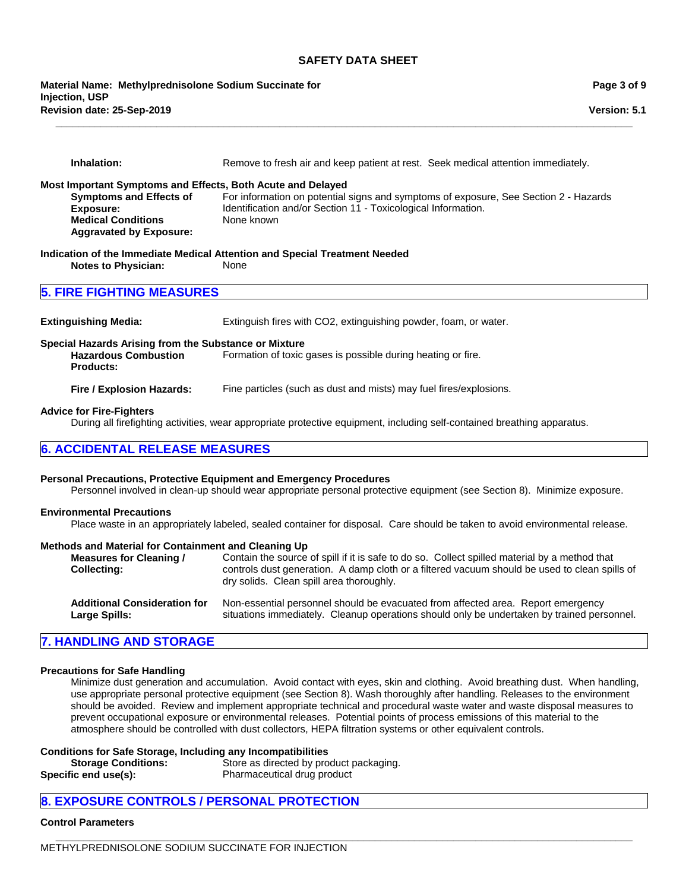**\_\_\_\_\_\_\_\_\_\_\_\_\_\_\_\_\_\_\_\_\_\_\_\_\_\_\_\_\_\_\_\_\_\_\_\_\_\_\_\_\_\_\_\_\_\_\_\_\_\_\_\_\_\_\_\_\_\_\_\_\_\_\_\_\_\_\_\_\_\_\_\_\_\_\_\_\_\_\_\_\_\_\_\_\_\_\_\_\_\_\_\_\_\_\_\_\_\_\_\_\_\_\_**

**Revision date: 25-Sep-2019 Material Name: Methylprednisolone Sodium Succinate for Injection, USP**

| Inhalation:                                                                                                                                                                                                                                                                                                                                             | Remove to fresh air and keep patient at rest. Seek medical attention immediately.                                                                                                               |  |  |
|---------------------------------------------------------------------------------------------------------------------------------------------------------------------------------------------------------------------------------------------------------------------------------------------------------------------------------------------------------|-------------------------------------------------------------------------------------------------------------------------------------------------------------------------------------------------|--|--|
| Most Important Symptoms and Effects, Both Acute and Delayed<br><b>Symptoms and Effects of</b><br>For information on potential signs and symptoms of exposure, See Section 2 - Hazards<br>Identification and/or Section 11 - Toxicological Information.<br><b>Exposure:</b><br><b>Medical Conditions</b><br>None known<br><b>Aggravated by Exposure:</b> |                                                                                                                                                                                                 |  |  |
| <b>Notes to Physician:</b>                                                                                                                                                                                                                                                                                                                              | Indication of the Immediate Medical Attention and Special Treatment Needed<br>None                                                                                                              |  |  |
| <b>5. FIRE FIGHTING MEASURES</b>                                                                                                                                                                                                                                                                                                                        |                                                                                                                                                                                                 |  |  |
| <b>Extinguishing Media:</b>                                                                                                                                                                                                                                                                                                                             | Extinguish fires with CO2, extinguishing powder, foam, or water.                                                                                                                                |  |  |
| Special Hazards Arising from the Substance or Mixture<br><b>Hazardous Combustion</b><br><b>Products:</b>                                                                                                                                                                                                                                                | Formation of toxic gases is possible during heating or fire.                                                                                                                                    |  |  |
| Fire / Explosion Hazards:                                                                                                                                                                                                                                                                                                                               | Fine particles (such as dust and mists) may fuel fires/explosions.                                                                                                                              |  |  |
| <b>Advice for Fire-Fighters</b><br>During all firefighting activities, wear appropriate protective equipment, including self-contained breathing apparatus.                                                                                                                                                                                             |                                                                                                                                                                                                 |  |  |
| <b>6. ACCIDENTAL RELEASE MEASURES</b>                                                                                                                                                                                                                                                                                                                   |                                                                                                                                                                                                 |  |  |
|                                                                                                                                                                                                                                                                                                                                                         | Personal Precautions, Protective Equipment and Emergency Procedures<br>Personnel involved in clean-up should wear appropriate personal protective equipment (see Section 8). Minimize exposure. |  |  |
| <b>Environmental Precautions</b>                                                                                                                                                                                                                                                                                                                        | Place waste in an appropriately labeled, sealed container for disposal. Care should be taken to avoid environmental release.                                                                    |  |  |

#### **Methods and Material for Containment and Cleaning Up**

| <b>Measures for Cleaning /</b><br><b>Collecting:</b> | Contain the source of spill if it is safe to do so. Collect spilled material by a method that<br>controls dust generation. A damp cloth or a filtered vacuum should be used to clean spills of<br>dry solids. Clean spill area thoroughly. |
|------------------------------------------------------|--------------------------------------------------------------------------------------------------------------------------------------------------------------------------------------------------------------------------------------------|
| <b>Additional Consideration for</b>                  | Non-essential personnel should be evacuated from affected area. Report emergency                                                                                                                                                           |
| Large Spills:                                        | situations immediately. Cleanup operations should only be undertaken by trained personnel.                                                                                                                                                 |

## **7. HANDLING AND STORAGE**

#### **Precautions for Safe Handling**

Minimize dust generation and accumulation. Avoid contact with eyes, skin and clothing. Avoid breathing dust. When handling, use appropriate personal protective equipment (see Section 8). Wash thoroughly after handling. Releases to the environment should be avoided. Review and implement appropriate technical and procedural waste water and waste disposal measures to prevent occupational exposure or environmental releases. Potential points of process emissions of this material to the atmosphere should be controlled with dust collectors, HEPA filtration systems or other equivalent controls.

#### **Conditions for Safe Storage, Including any Incompatibilities**

| <b>Storage Conditions:</b> | Store as directed by product packaging. |
|----------------------------|-----------------------------------------|
| Specific end use(s):       | Pharmaceutical drug product             |

## **8. EXPOSURE CONTROLS / PERSONAL PROTECTION**

## **Control Parameters**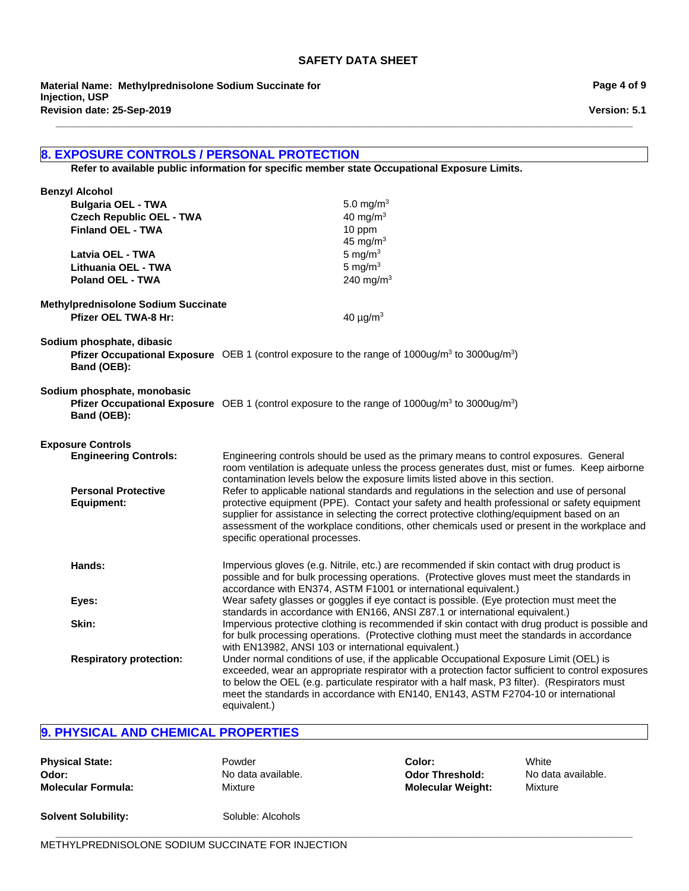**\_\_\_\_\_\_\_\_\_\_\_\_\_\_\_\_\_\_\_\_\_\_\_\_\_\_\_\_\_\_\_\_\_\_\_\_\_\_\_\_\_\_\_\_\_\_\_\_\_\_\_\_\_\_\_\_\_\_\_\_\_\_\_\_\_\_\_\_\_\_\_\_\_\_\_\_\_\_\_\_\_\_\_\_\_\_\_\_\_\_\_\_\_\_\_\_\_\_\_\_\_\_\_**

**Revision date: 25-Sep-2019 Material Name: Methylprednisolone Sodium Succinate for Injection, USP**

## **8. EXPOSURE CONTROLS / PERSONAL PROTECTION**

**Refer to available public information for specific member state Occupational Exposure Limits.**

| <b>Benzyl Alcohol</b><br><b>Bulgaria OEL - TWA</b><br><b>Czech Republic OEL - TWA</b><br><b>Finland OEL - TWA</b><br>Latvia OEL - TWA<br>Lithuania OEL - TWA<br><b>Poland OEL - TWA</b> | 5.0 mg/m <sup>3</sup><br>40 mg/m $3$<br>10 ppm<br>45 mg/m $3$<br>5 mg/ $m3$<br>5 mg/ $m3$<br>240 mg/m <sup>3</sup>                                                                                                                                                                                                                                                                                                                                                                                                                                                                                                                                                                                    |  |  |
|-----------------------------------------------------------------------------------------------------------------------------------------------------------------------------------------|-------------------------------------------------------------------------------------------------------------------------------------------------------------------------------------------------------------------------------------------------------------------------------------------------------------------------------------------------------------------------------------------------------------------------------------------------------------------------------------------------------------------------------------------------------------------------------------------------------------------------------------------------------------------------------------------------------|--|--|
| <b>Methylprednisolone Sodium Succinate</b><br><b>Pfizer OEL TWA-8 Hr:</b>                                                                                                               | 40 $\mu$ g/m <sup>3</sup>                                                                                                                                                                                                                                                                                                                                                                                                                                                                                                                                                                                                                                                                             |  |  |
| Sodium phosphate, dibasic<br>Band (OEB):                                                                                                                                                | <b>Pfizer Occupational Exposure</b> OEB 1 (control exposure to the range of 1000ug/m <sup>3</sup> to 3000ug/m <sup>3</sup> )                                                                                                                                                                                                                                                                                                                                                                                                                                                                                                                                                                          |  |  |
| Sodium phosphate, monobasic<br>Band (OEB):                                                                                                                                              | <b>Pfizer Occupational Exposure</b> OEB 1 (control exposure to the range of 1000ug/m <sup>3</sup> to 3000ug/m <sup>3</sup> )                                                                                                                                                                                                                                                                                                                                                                                                                                                                                                                                                                          |  |  |
| <b>Exposure Controls</b><br><b>Engineering Controls:</b><br><b>Personal Protective</b><br><b>Equipment:</b>                                                                             | Engineering controls should be used as the primary means to control exposures. General<br>room ventilation is adequate unless the process generates dust, mist or fumes. Keep airborne<br>contamination levels below the exposure limits listed above in this section.<br>Refer to applicable national standards and regulations in the selection and use of personal<br>protective equipment (PPE). Contact your safety and health professional or safety equipment<br>supplier for assistance in selecting the correct protective clothing/equipment based on an<br>assessment of the workplace conditions, other chemicals used or present in the workplace and<br>specific operational processes. |  |  |
| Hands:                                                                                                                                                                                  | Impervious gloves (e.g. Nitrile, etc.) are recommended if skin contact with drug product is<br>possible and for bulk processing operations. (Protective gloves must meet the standards in<br>accordance with EN374, ASTM F1001 or international equivalent.)                                                                                                                                                                                                                                                                                                                                                                                                                                          |  |  |
| Eyes:                                                                                                                                                                                   | Wear safety glasses or goggles if eye contact is possible. (Eye protection must meet the<br>standards in accordance with EN166, ANSI Z87.1 or international equivalent.)                                                                                                                                                                                                                                                                                                                                                                                                                                                                                                                              |  |  |
| Skin:                                                                                                                                                                                   | Impervious protective clothing is recommended if skin contact with drug product is possible and<br>for bulk processing operations. (Protective clothing must meet the standards in accordance<br>with EN13982, ANSI 103 or international equivalent.)<br>Under normal conditions of use, if the applicable Occupational Exposure Limit (OEL) is<br>exceeded, wear an appropriate respirator with a protection factor sufficient to control exposures<br>to below the OEL (e.g. particulate respirator with a half mask, P3 filter). (Respirators must<br>meet the standards in accordance with EN140, EN143, ASTM F2704-10 or international<br>equivalent.)                                           |  |  |
| <b>Respiratory protection:</b>                                                                                                                                                          |                                                                                                                                                                                                                                                                                                                                                                                                                                                                                                                                                                                                                                                                                                       |  |  |

**\_\_\_\_\_\_\_\_\_\_\_\_\_\_\_\_\_\_\_\_\_\_\_\_\_\_\_\_\_\_\_\_\_\_\_\_\_\_\_\_\_\_\_\_\_\_\_\_\_\_\_\_\_\_\_\_\_\_\_\_\_\_\_\_\_\_\_\_\_\_\_\_\_\_\_\_\_\_\_\_\_\_\_\_\_\_\_\_\_\_\_\_\_\_\_\_\_\_\_\_\_\_\_**

## **9. PHYSICAL AND CHEMICAL PROPERTIES**

| <b>Physical State:</b>    | Powder             |
|---------------------------|--------------------|
| Odor:                     | No data available. |
| <b>Molecular Formula:</b> | Mixture            |

**Color:** White **Odor Threshold:** No data available. **Molecular Formula:** Mixture **Molecular Weight:** Mixture

**Solvent Solubility:** Soluble: Alcohols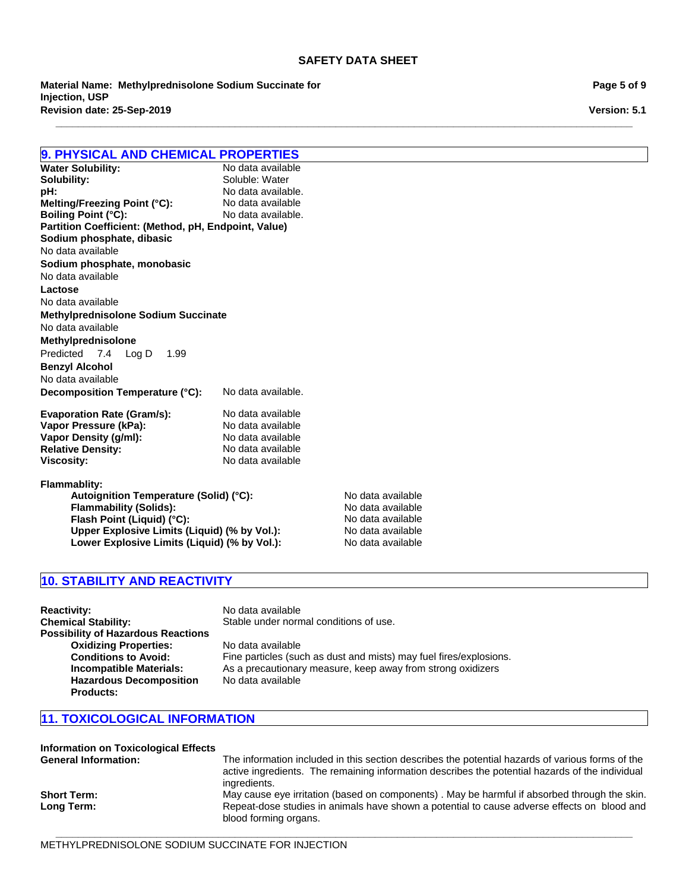**\_\_\_\_\_\_\_\_\_\_\_\_\_\_\_\_\_\_\_\_\_\_\_\_\_\_\_\_\_\_\_\_\_\_\_\_\_\_\_\_\_\_\_\_\_\_\_\_\_\_\_\_\_\_\_\_\_\_\_\_\_\_\_\_\_\_\_\_\_\_\_\_\_\_\_\_\_\_\_\_\_\_\_\_\_\_\_\_\_\_\_\_\_\_\_\_\_\_\_\_\_\_\_**

**Revision date: 25-Sep-2019 Material Name: Methylprednisolone Sodium Succinate for Injection, USP**

**9. PHYSICAL AND CHEMICAL PROPERTIES Water Solubility:**<br>Solubility: Soluble: Water **pH:** No data available.<br> **Melting/Freezing Point (°C):** No data available **Melting/Freezing Point (°C): Boiling Point (°C):** No data available. **Partition Coefficient: (Method, pH, Endpoint, Value) Decomposition Temperature (°C):** No data available. **Evaporation Rate (Gram/s):** No data available<br> **Vapor Pressure (kPa):** No data available **Vapor Pressure (kPa):** No data available<br> **Vapor Density (g/ml):** No data available **Vapor Density (g/ml):** No data available<br> **Relative Density:** No data available **Benzyl Alcohol** No data available No data available **Lactose Sodium phosphate, dibasic** No data available **Methylprednisolone Sodium Succinate** No data available No data available **Methylprednisolone Sodium phosphate, monobasic** Predicted7.4Log D1.99

**Relative Density: Viscosity:** No data available **Flammablity:** Autoignition Temperature (Solid) (°C): No data available

**Flammability (Solids):** No data available **Flash Point (Liquid) (°C): Upper Explosive Limits (Liquid) (% by Vol.):** No data available Lower Explosive Limits (Liquid) (% by Vol.): No data available

## **10. STABILITY AND REACTIVITY**

**Reactivity:** No data available **Chemical Stability:** Stable under normal conditions of use. **Possibility of Hazardous Reactions Oxidizing Properties:** No data available<br> **Conditions to Avoid:** Fine particles (sud **Conditions to Avoid:** Fine particles (such as dust and mists) may fuel fires/explosions.<br>**Incompatible Materials:** As a precautionary measure, keep away from strong oxidizers As a precautionary measure, keep away from strong oxidizers **Hazardous Decomposition Products:** No data available

## **11. TOXICOLOGICAL INFORMATION**

| <b>Information on Toxicological Effects</b> |                                                                                                                                                                                                                     |
|---------------------------------------------|---------------------------------------------------------------------------------------------------------------------------------------------------------------------------------------------------------------------|
| <b>General Information:</b>                 | The information included in this section describes the potential hazards of various forms of the<br>active ingredients. The remaining information describes the potential hazards of the individual<br>ingredients. |
| <b>Short Term:</b>                          | May cause eye irritation (based on components). May be harmful if absorbed through the skin.                                                                                                                        |
| Long Term:                                  | Repeat-dose studies in animals have shown a potential to cause adverse effects on blood and<br>blood forming organs.                                                                                                |

**\_\_\_\_\_\_\_\_\_\_\_\_\_\_\_\_\_\_\_\_\_\_\_\_\_\_\_\_\_\_\_\_\_\_\_\_\_\_\_\_\_\_\_\_\_\_\_\_\_\_\_\_\_\_\_\_\_\_\_\_\_\_\_\_\_\_\_\_\_\_\_\_\_\_\_\_\_\_\_\_\_\_\_\_\_\_\_\_\_\_\_\_\_\_\_\_\_\_\_\_\_\_\_**

METHYLPREDNISOLONE SODIUM SUCCINATE FOR INJECTION

**Page 5 of 9**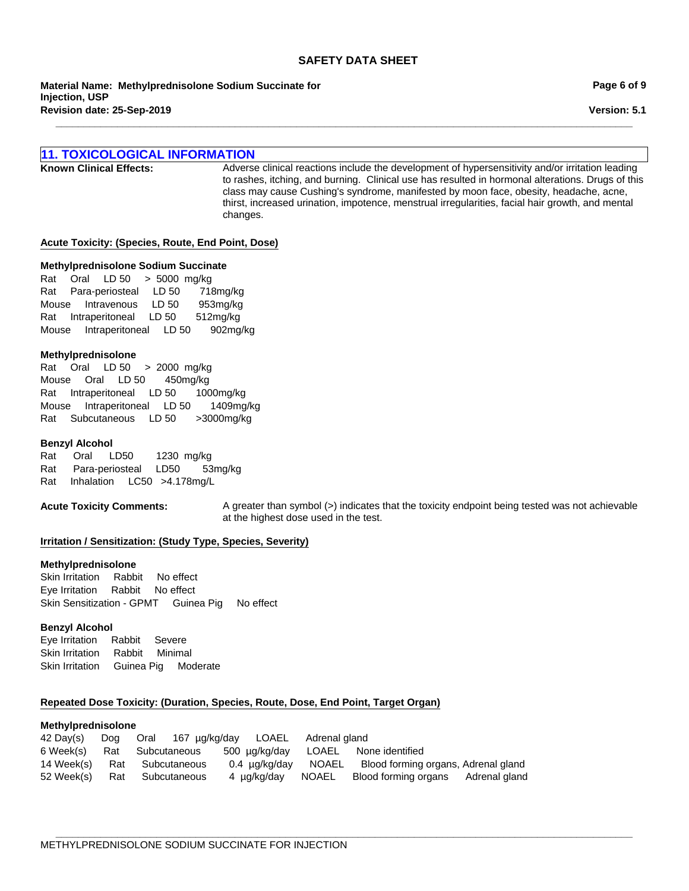**\_\_\_\_\_\_\_\_\_\_\_\_\_\_\_\_\_\_\_\_\_\_\_\_\_\_\_\_\_\_\_\_\_\_\_\_\_\_\_\_\_\_\_\_\_\_\_\_\_\_\_\_\_\_\_\_\_\_\_\_\_\_\_\_\_\_\_\_\_\_\_\_\_\_\_\_\_\_\_\_\_\_\_\_\_\_\_\_\_\_\_\_\_\_\_\_\_\_\_\_\_\_\_**

**Revision date: 25-Sep-2019 Material Name: Methylprednisolone Sodium Succinate for Injection, USP**

## **11. TOXICOLOGICAL INFORMATION**

**Known Clinical Effects:** Adverse clinical reactions include the development of hypersensitivity and/or irritation leading to rashes, itching, and burning. Clinical use has resulted in hormonal alterations. Drugs of this class may cause Cushing's syndrome, manifested by moon face, obesity, headache, acne, thirst, increased urination, impotence, menstrual irregularities, facial hair growth, and mental changes.

#### **Acute Toxicity: (Species, Route, End Point, Dose)**

#### **Methylprednisolone Sodium Succinate**

RatOralLD 50>5000mg/kg RatPara-periostealLD 50718mg/kg MouseIntravenousLD 50953mg/kg RatIntraperitonealLD 50512mg/kg MouseIntraperitonealLD 50902mg/kg

#### **Methylprednisolone**

RatOralLD 50>2000mg/kg MouseOralLD 50450mg/kg RatIntraperitonealLD 501000mg/kg MouseIntraperitonealLD 501409mg/kg RatSubcutaneousLD 50>3000mg/kg

#### **Benzyl Alcohol**

Rat Oral LD50 1230mg/kg Rat Para-periostealLD50 53mg/kg RatInhalationLC50 >4.178mg/L

**Acute Toxicity Comments:** A greater than symbol (>) indicates that the toxicity endpoint being tested was not achievable at the highest dose used in the test.

### **Irritation / Sensitization: (Study Type, Species, Severity)**

#### **Methylprednisolone**

Skin IrritationRabbitNo effect Eye IrritationRabbitNo effect Skin Sensitization - GPMTGuinea PigNo effect

#### **Benzyl Alcohol**

Eye IrritationRabbitSevere Skin IrritationRabbitMinimal Skin IrritationGuinea PigModerate

#### **Repeated Dose Toxicity: (Duration, Species, Route, Dose, End Point, Target Organ)**

#### **Methylprednisolone**

| 42 Dav(s) | Dog Oral 167 µg/kg/day LOAEL Adrenal gland |                                     |                                                      |  |
|-----------|--------------------------------------------|-------------------------------------|------------------------------------------------------|--|
|           | 6 Week(s) Rat Subcutaneous                 | 500 ug/kg/day LOAEL None identified |                                                      |  |
|           | 14 Week(s) Rat Subcutaneous                | 0.4 µg/kg/day NOAEL                 | Blood forming organs, Adrenal gland                  |  |
|           | 52 Week(s) Rat Subcutaneous                |                                     | 4 µg/kg/day NOAEL Blood forming organs Adrenal gland |  |

**Page 6 of 9**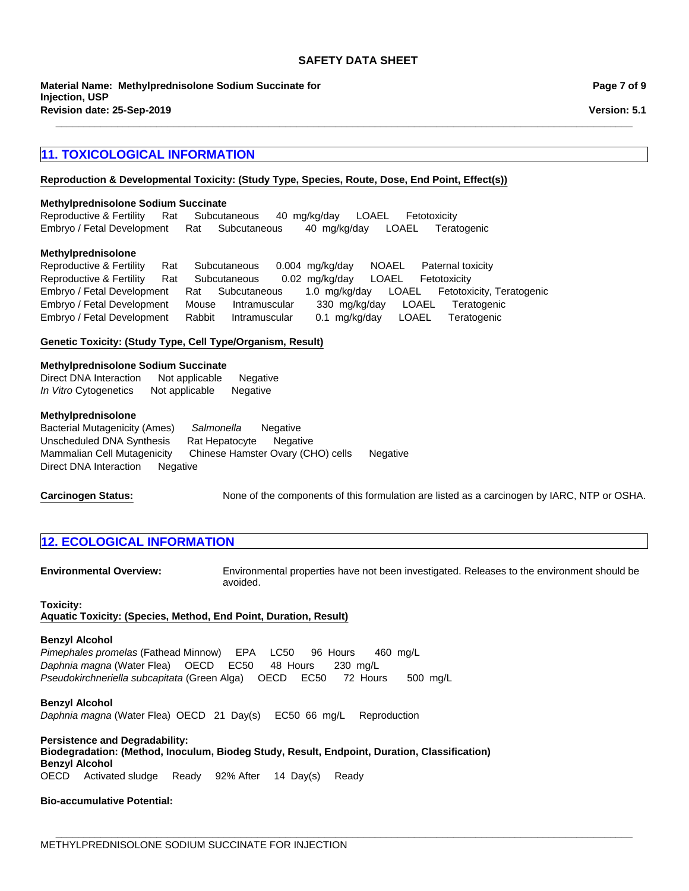**\_\_\_\_\_\_\_\_\_\_\_\_\_\_\_\_\_\_\_\_\_\_\_\_\_\_\_\_\_\_\_\_\_\_\_\_\_\_\_\_\_\_\_\_\_\_\_\_\_\_\_\_\_\_\_\_\_\_\_\_\_\_\_\_\_\_\_\_\_\_\_\_\_\_\_\_\_\_\_\_\_\_\_\_\_\_\_\_\_\_\_\_\_\_\_\_\_\_\_\_\_\_\_**

**Revision date: 25-Sep-2019 Material Name: Methylprednisolone Sodium Succinate for Injection, USP**

## **11. TOXICOLOGICAL INFORMATION**

## **Reproduction & Developmental Toxicity: (Study Type, Species, Route, Dose, End Point, Effect(s))**

#### **Methylprednisolone Sodium Succinate**

Reproductive & FertilityRatSubcutaneous40mg/kg/dayLOAELFetotoxicity Embryo / Fetal DevelopmentRatSubcutaneous40mg/kg/dayLOAELTeratogenic

#### **Methylprednisolone**

Reproductive & FertilityRatSubcutaneous0.004mg/kg/dayNOAELPaternal toxicity Reproductive & FertilityRatSubcutaneous0.02mg/kg/dayLOAELFetotoxicity Embryo / Fetal DevelopmentRatSubcutaneous1.0mg/kg/dayLOAELFetotoxicity, Teratogenic Embryo / Fetal DevelopmentMouseIntramuscular330mg/kg/dayLOAELTeratogenic Embryo / Fetal DevelopmentRabbitIntramuscular0.1mg/kg/dayLOAELTeratogenic

#### **Genetic Toxicity: (Study Type, Cell Type/Organism, Result)**

#### **Methylprednisolone Sodium Succinate**

Direct DNA InteractionNot applicableNegative *In Vitro* CytogeneticsNot applicableNegative

#### **Methylprednisolone**

Bacterial Mutagenicity (Ames)*Salmonella* Negative Unscheduled DNA SynthesisRat HepatocyteNegative Mammalian Cell MutagenicityChinese Hamster Ovary (CHO) cellsNegative Direct DNA InteractionNegative

**Carcinogen Status:** None of the components of this formulation are listed as a carcinogen by IARC, NTP or OSHA.

## **12. ECOLOGICAL INFORMATION**

**Environmental Overview:** Environmental properties have not been investigated. Releases to the environment should be avoided.

### **Toxicity: Aquatic Toxicity: (Species, Method, End Point, Duration, Result)**

#### **Benzyl Alcohol**

*Pimephales promelas* (Fathead Minnow)EPALC50 96Hours460mg/L *Daphnia magna* (Water Flea)OECDEC50 48Hours230mg/L *Pseudokirchneriella subcapitata* (Green Alga)OECDEC50 72Hours500mg/L

**Benzyl Alcohol** *Daphnia magna* (Water Flea)OECD21Day(s)EC5066mg/LReproduction

**Persistence and Degradability: Biodegradation: (Method, Inoculum, Biodeg Study, Result, Endpoint, Duration, Classification) Benzyl Alcohol** OECDActivated sludgeReady92% After14Day(s)Ready

**\_\_\_\_\_\_\_\_\_\_\_\_\_\_\_\_\_\_\_\_\_\_\_\_\_\_\_\_\_\_\_\_\_\_\_\_\_\_\_\_\_\_\_\_\_\_\_\_\_\_\_\_\_\_\_\_\_\_\_\_\_\_\_\_\_\_\_\_\_\_\_\_\_\_\_\_\_\_\_\_\_\_\_\_\_\_\_\_\_\_\_\_\_\_\_\_\_\_\_\_\_\_\_**

### **Bio-accumulative Potential:**

**Page 7 of 9**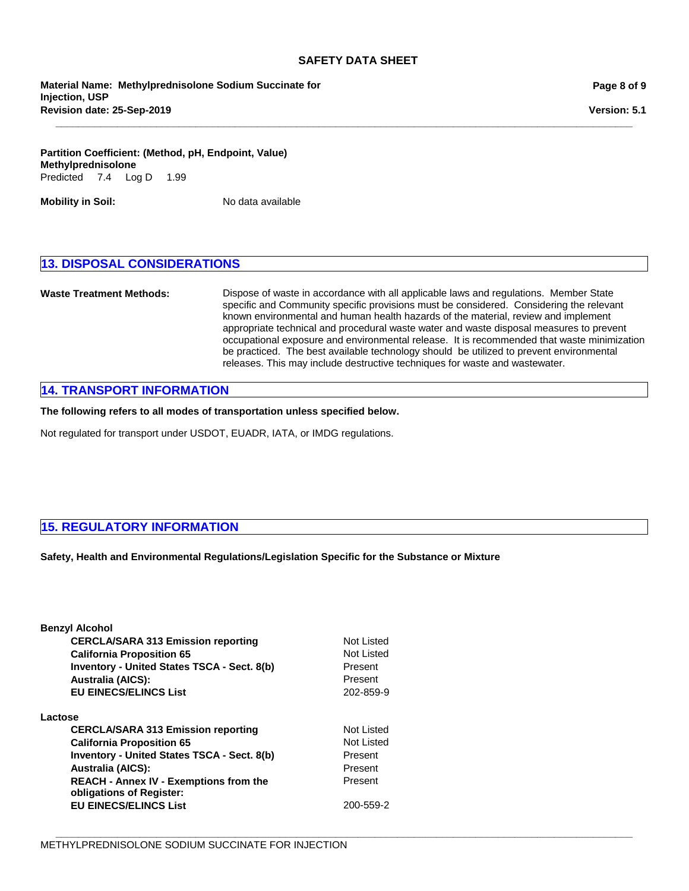**\_\_\_\_\_\_\_\_\_\_\_\_\_\_\_\_\_\_\_\_\_\_\_\_\_\_\_\_\_\_\_\_\_\_\_\_\_\_\_\_\_\_\_\_\_\_\_\_\_\_\_\_\_\_\_\_\_\_\_\_\_\_\_\_\_\_\_\_\_\_\_\_\_\_\_\_\_\_\_\_\_\_\_\_\_\_\_\_\_\_\_\_\_\_\_\_\_\_\_\_\_\_\_**

**Revision date: 25-Sep-2019 Material Name: Methylprednisolone Sodium Succinate for Injection, USP**

**Partition Coefficient: (Method, pH, Endpoint, Value) Methylprednisolone** Predicted7.4Log D1.99

**Mobility in Soil:** No data available

## **13. DISPOSAL CONSIDERATIONS**

**Waste Treatment Methods:** Dispose of waste in accordance with all applicable laws and regulations. Member State specific and Community specific provisions must be considered. Considering the relevant known environmental and human health hazards of the material, review and implement appropriate technical and procedural waste water and waste disposal measures to prevent occupational exposure and environmental release. It is recommended that waste minimization be practiced. The best available technology should be utilized to prevent environmental releases. This may include destructive techniques for waste and wastewater.

## **14. TRANSPORT INFORMATION**

**The following refers to all modes of transportation unless specified below.**

Not regulated for transport under USDOT, EUADR, IATA, or IMDG regulations.

## **15. REGULATORY INFORMATION**

**Safety, Health and Environmental Regulations/Legislation Specific for the Substance or Mixture**

| <b>Benzyl Alcohol</b>                                                     |            |
|---------------------------------------------------------------------------|------------|
| <b>CERCLA/SARA 313 Emission reporting</b>                                 | Not Listed |
| <b>California Proposition 65</b>                                          | Not Listed |
| <b>Inventory - United States TSCA - Sect. 8(b)</b>                        | Present    |
| <b>Australia (AICS):</b>                                                  | Present    |
| <b>EU EINECS/ELINCS List</b>                                              | 202-859-9  |
| Lactose                                                                   |            |
| <b>CERCLA/SARA 313 Emission reporting</b>                                 | Not Listed |
| <b>California Proposition 65</b>                                          | Not Listed |
| <b>Inventory - United States TSCA - Sect. 8(b)</b>                        | Present    |
| <b>Australia (AICS):</b>                                                  | Present    |
| <b>REACH - Annex IV - Exemptions from the</b><br>obligations of Register: | Present    |
| <b>EU EINECS/ELINCS List</b>                                              | 200-559-2  |
|                                                                           |            |

**Page 8 of 9**